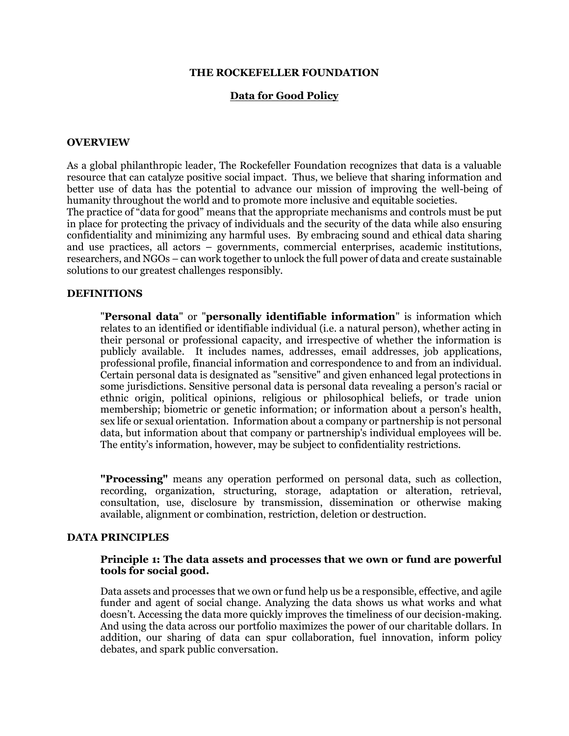#### **THE ROCKEFELLER FOUNDATION**

#### **Data for Good Policy**

#### **OVERVIEW**

As a global philanthropic leader, The Rockefeller Foundation recognizes that data is a valuable resource that can catalyze positive social impact. Thus, we believe that sharing information and better use of data has the potential to advance our mission of improving the well-being of humanity throughout the world and to promote more inclusive and equitable societies.

The practice of "data for good" means that the appropriate mechanisms and controls must be put in place for protecting the privacy of individuals and the security of the data while also ensuring confidentiality and minimizing any harmful uses. By embracing sound and ethical data sharing and use practices, all actors – governments, commercial enterprises, academic institutions, researchers, and NGOs – can work together to unlock the full power of data and create sustainable solutions to our greatest challenges responsibly.

## **DEFINITIONS**

"**Personal data**" or "**personally identifiable information**" is information which relates to an identified or identifiable individual (i.e. a natural person), whether acting in their personal or professional capacity, and irrespective of whether the information is publicly available. It includes names, addresses, email addresses, job applications, professional profile, financial information and correspondence to and from an individual. Certain personal data is designated as "sensitive" and given enhanced legal protections in some jurisdictions. Sensitive personal data is personal data revealing a person's racial or ethnic origin, political opinions, religious or philosophical beliefs, or trade union membership; biometric or genetic information; or information about a person's health, sex life or sexual orientation. Information about a company or partnership is not personal data, but information about that company or partnership's individual employees will be. The entity's information, however, may be subject to confidentiality restrictions.

**"Processing"** means any operation performed on personal data, such as collection, recording, organization, structuring, storage, adaptation or alteration, retrieval, consultation, use, disclosure by transmission, dissemination or otherwise making available, alignment or combination, restriction, deletion or destruction.

## **DATA PRINCIPLES**

### **Principle 1: The data assets and processes that we own or fund are powerful tools for social good.**

Data assets and processes that we own or fund help us be a responsible, effective, and agile funder and agent of social change. Analyzing the data shows us what works and what doesn't. Accessing the data more quickly improves the timeliness of our decision-making. And using the data across our portfolio maximizes the power of our charitable dollars. In addition, our sharing of data can spur collaboration, fuel innovation, inform policy debates, and spark public conversation.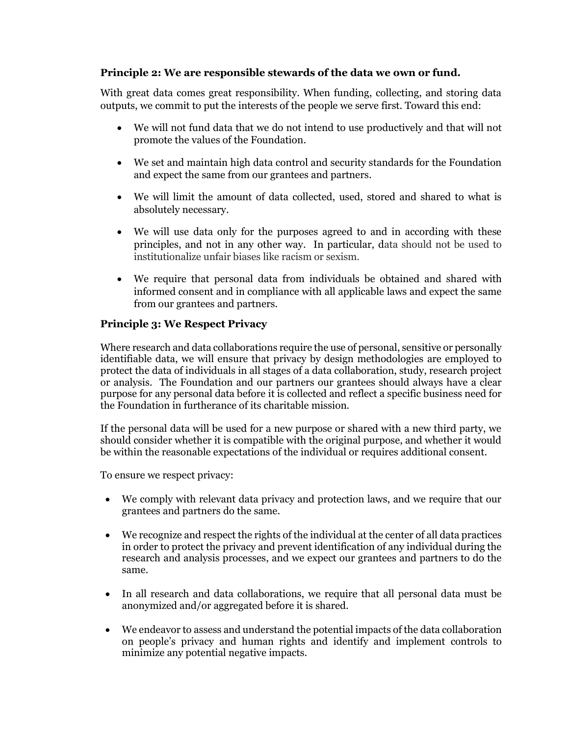# **Principle 2: We are responsible stewards of the data we own or fund.**

With great data comes great responsibility. When funding, collecting, and storing data outputs, we commit to put the interests of the people we serve first. Toward this end:

- We will not fund data that we do not intend to use productively and that will not promote the values of the Foundation.
- We set and maintain high data control and security standards for the Foundation and expect the same from our grantees and partners.
- We will limit the amount of data collected, used, stored and shared to what is absolutely necessary.
- We will use data only for the purposes agreed to and in according with these principles, and not in any other way. In particular, data should not be used to institutionalize unfair biases like racism or sexism.
- We require that personal data from individuals be obtained and shared with informed consent and in compliance with all applicable laws and expect the same from our grantees and partners.

# **Principle 3: We Respect Privacy**

Where research and data collaborations require the use of personal, sensitive or personally identifiable data, we will ensure that privacy by design methodologies are employed to protect the data of individuals in all stages of a data collaboration, study, research project or analysis. The Foundation and our partners our grantees should always have a clear purpose for any personal data before it is collected and reflect a specific business need for the Foundation in furtherance of its charitable mission.

If the personal data will be used for a new purpose or shared with a new third party, we should consider whether it is compatible with the original purpose, and whether it would be within the reasonable expectations of the individual or requires additional consent.

To ensure we respect privacy:

- We comply with relevant data privacy and protection laws, and we require that our grantees and partners do the same.
- We recognize and respect the rights of the individual at the center of all data practices in order to protect the privacy and prevent identification of any individual during the research and analysis processes, and we expect our grantees and partners to do the same.
- In all research and data collaborations, we require that all personal data must be anonymized and/or aggregated before it is shared.
- We endeavor to assess and understand the potential impacts of the data collaboration on people's privacy and human rights and identify and implement controls to minimize any potential negative impacts.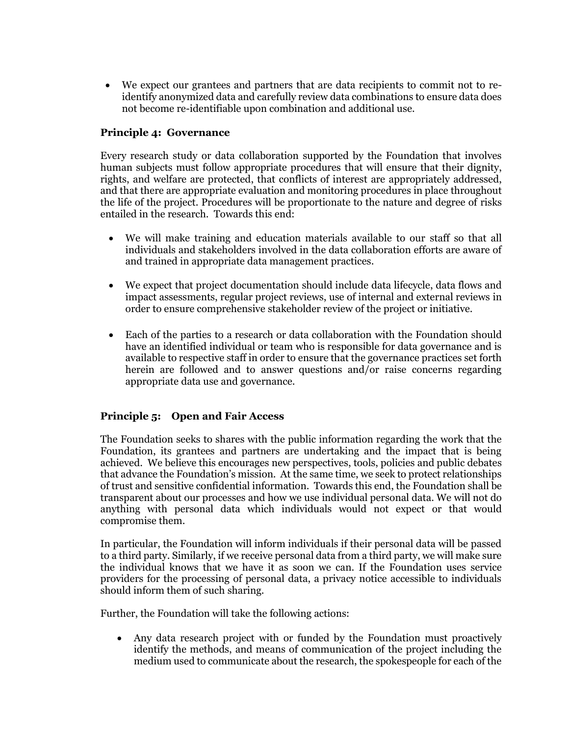• We expect our grantees and partners that are data recipients to commit not to reidentify anonymized data and carefully review data combinations to ensure data does not become re-identifiable upon combination and additional use.

# **Principle 4: Governance**

Every research study or data collaboration supported by the Foundation that involves human subjects must follow appropriate procedures that will ensure that their dignity, rights, and welfare are protected, that conflicts of interest are appropriately addressed, and that there are appropriate evaluation and monitoring procedures in place throughout the life of the project. Procedures will be proportionate to the nature and degree of risks entailed in the research. Towards this end:

- We will make training and education materials available to our staff so that all individuals and stakeholders involved in the data collaboration efforts are aware of and trained in appropriate data management practices.
- We expect that project documentation should include data lifecycle, data flows and impact assessments, regular project reviews, use of internal and external reviews in order to ensure comprehensive stakeholder review of the project or initiative.
- Each of the parties to a research or data collaboration with the Foundation should have an identified individual or team who is responsible for data governance and is available to respective staff in order to ensure that the governance practices set forth herein are followed and to answer questions and/or raise concerns regarding appropriate data use and governance.

# **Principle 5: Open and Fair Access**

The Foundation seeks to shares with the public information regarding the work that the Foundation, its grantees and partners are undertaking and the impact that is being achieved. We believe this encourages new perspectives, tools, policies and public debates that advance the Foundation's mission. At the same time, we seek to protect relationships of trust and sensitive confidential information. Towards this end, the Foundation shall be transparent about our processes and how we use individual personal data. We will not do anything with personal data which individuals would not expect or that would compromise them.

In particular, the Foundation will inform individuals if their personal data will be passed to a third party. Similarly, if we receive personal data from a third party, we will make sure the individual knows that we have it as soon we can. If the Foundation uses service providers for the processing of personal data, a privacy notice accessible to individuals should inform them of such sharing.

Further, the Foundation will take the following actions:

• Any data research project with or funded by the Foundation must proactively identify the methods, and means of communication of the project including the medium used to communicate about the research, the spokespeople for each of the